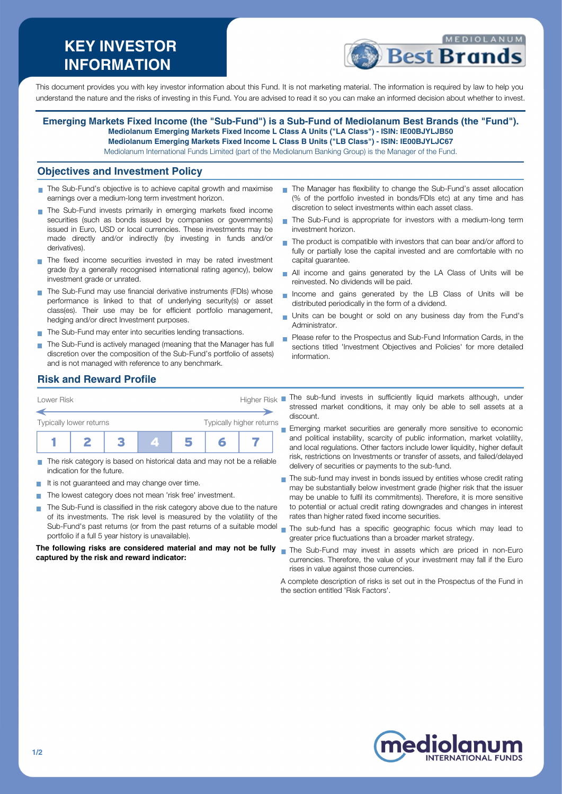# **KEY INVESTOR INFORMATION**



This document provides you with key investor information about this Fund. It is not marketing material. The information is required by law to help you understand the nature and the risks of investing in this Fund. You are advised to read it so you can make an informed decision about whether to invest.

**Emerging Markets Fixed Income (the "Sub-Fund") is a Sub-Fund of Mediolanum Best Brands (the "Fund"). Mediolanum Emerging Markets Fixed Income L Class A Units ("LA Class") - ISIN: IE00BJYLJB50 Mediolanum Emerging Markets Fixed Income L Class B Units ("LB Class") - ISIN: IE00BJYLJC67** Mediolanum International Funds Limited (part of the Mediolanum Banking Group) is the Manager of the Fund.

#### **Objectives and Investment Policy**

- The Sub-Fund's objective is to achieve capital growth and maximise earnings over a medium-long term investment horizon.
- The Sub-Fund invests primarily in emerging markets fixed income securities (such as bonds issued by companies or governments) issued in Euro, USD or local currencies. These investments may be made directly and/or indirectly (by investing in funds and/or derivatives).
- The fixed income securities invested in may be rated investment grade (by a generally recognised international rating agency), below investment grade or unrated.
- The Sub-Fund may use financial derivative instruments (FDIs) whose performance is linked to that of underlying security(s) or asset class(es). Their use may be for efficient portfolio management, hedging and/or direct Investment purposes.
- The Sub-Fund may enter into securities lending transactions.
- The Sub-Fund is actively managed (meaning that the Manager has full discretion over the composition of the Sub-Fund's portfolio of assets) and is not managed with reference to any benchmark.
- The Manager has flexibility to change the Sub-Fund's asset allocation (% of the portfolio invested in bonds/FDIs etc) at any time and has discretion to select investments within each asset class.
- The Sub-Fund is appropriate for investors with a medium-long term investment horizon.
- The product is compatible with investors that can bear and/or afford to fully or partially lose the capital invested and are comfortable with no capital guarantee.
- All income and gains generated by the LA Class of Units will be reinvested. No dividends will be paid.
- Income and gains generated by the LB Class of Units will be  $\overline{\phantom{a}}$ distributed periodically in the form of a dividend.
- Units can be bought or sold on any business day from the Fund's Administrator.
- Please refer to the Prospectus and Sub-Fund Information Cards, in the sections titled 'Investment Objectives and Policies' for more detailed information.

## **Risk and Reward Profile**

| Lower Risk              |  |  |   | Higher Risk |                          |  |  |
|-------------------------|--|--|---|-------------|--------------------------|--|--|
| Typically lower returns |  |  |   |             | Typically higher returns |  |  |
|                         |  |  | я |             |                          |  |  |

- The risk category is based on historical data and may not be a reliable indication for the future.
- It is not guaranteed and may change over time.
- The lowest category does not mean 'risk free' investment.  $\blacksquare$
- The Sub-Fund is classified in the risk category above due to the nature T. of its investments. The risk level is measured by the volatility of the Sub-Fund's past returns (or from the past returns of a suitable model portfolio if a full 5 year history is unavailable).

**The following risks are considered material and may not be fully captured by the risk and reward indicator:**

The sub-fund invests in sufficiently liquid markets although, under stressed market conditions, it may only be able to sell assets at a discount.

- **Emerging market securities are generally more sensitive to economic** and political instability, scarcity of public information, market volatility, and local regulations. Other factors include lower liquidity, higher default risk, restrictions on Investments or transfer of assets, and failed/delayed delivery of securities or payments to the sub-fund.
- The sub-fund may invest in bonds issued by entities whose credit rating may be substantially below investment grade (higher risk that the issuer may be unable to fulfil its commitments). Therefore, it is more sensitive to potential or actual credit rating downgrades and changes in interest rates than higher rated fixed income securities.
- The sub-fund has a specific geographic focus which may lead to greater price fluctuations than a broader market strategy.
- The Sub-Fund may invest in assets which are priced in non-Euro currencies. Therefore, the value of your investment may fall if the Euro rises in value against those currencies.

A complete description of risks is set out in the Prospectus of the Fund in the section entitled 'Risk Factors'.